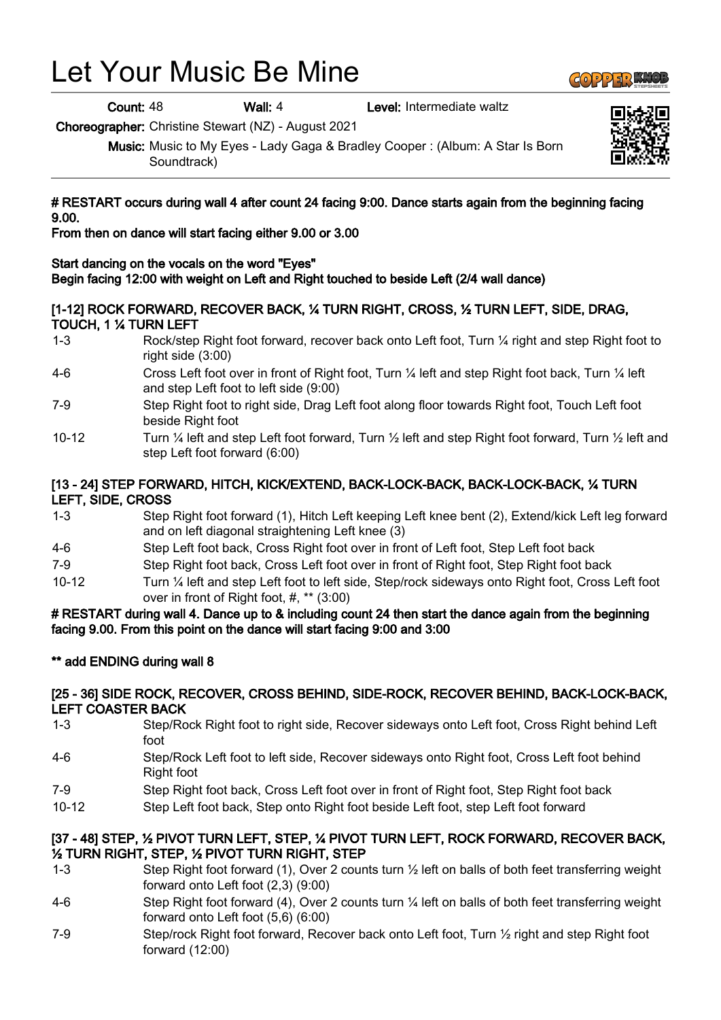# Let Your Music Be Mine

Count: 48 Wall: 4 Level: Intermediate waltz

Choreographer: Christine Stewart (NZ) - August 2021

Music: Music to My Eyes - Lady Gaga & Bradley Cooper : (Album: A Star Is Born Soundtrack)

### # RESTART occurs during wall 4 after count 24 facing 9:00. Dance starts again from the beginning facing 9.00.

From then on dance will start facing either 9.00 or 3.00

# Start dancing on the vocals on the word "Eyes"

Begin facing 12:00 with weight on Left and Right touched to beside Left (2/4 wall dance)

# [1-12] ROCK FORWARD, RECOVER BACK, ¼ TURN RIGHT, CROSS, ½ TURN LEFT, SIDE, DRAG, TOUCH, 1 ¼ TURN LEFT

- 1-3 Rock/step Right foot forward, recover back onto Left foot, Turn ¼ right and step Right foot to right side (3:00)
- 4-6 Cross Left foot over in front of Right foot, Turn ¼ left and step Right foot back, Turn ¼ left and step Left foot to left side (9:00)
- 7-9 Step Right foot to right side, Drag Left foot along floor towards Right foot, Touch Left foot beside Right foot
- 10-12 Turn ¼ left and step Left foot forward, Turn ½ left and step Right foot forward, Turn ½ left and step Left foot forward (6:00)

# [13 - 24] STEP FORWARD, HITCH, KICK/EXTEND, BACK-LOCK-BACK, BACK-LOCK-BACK, ¼ TURN LEFT, SIDE, CROSS

- 1-3 Step Right foot forward (1), Hitch Left keeping Left knee bent (2), Extend/kick Left leg forward and on left diagonal straightening Left knee (3)
- 4-6 Step Left foot back, Cross Right foot over in front of Left foot, Step Left foot back
- 7-9 Step Right foot back, Cross Left foot over in front of Right foot, Step Right foot back
- 10-12 Turn ¼ left and step Left foot to left side, Step/rock sideways onto Right foot, Cross Left foot over in front of Right foot, #, \*\* (3:00)

## # RESTART during wall 4. Dance up to & including count 24 then start the dance again from the beginning facing 9.00. From this point on the dance will start facing 9:00 and 3:00

# \*\* add ENDING during wall 8

### [25 - 36] SIDE ROCK, RECOVER, CROSS BEHIND, SIDE-ROCK, RECOVER BEHIND, BACK-LOCK-BACK, LEFT COASTER BACK

- 1-3 Step/Rock Right foot to right side, Recover sideways onto Left foot, Cross Right behind Left foot
- 4-6 Step/Rock Left foot to left side, Recover sideways onto Right foot, Cross Left foot behind Right foot
- 7-9 Step Right foot back, Cross Left foot over in front of Right foot, Step Right foot back
- 10-12 Step Left foot back, Step onto Right foot beside Left foot, step Left foot forward

## [37 - 48] STEP, ½ PIVOT TURN LEFT, STEP, ¼ PIVOT TURN LEFT, ROCK FORWARD, RECOVER BACK, ½ TURN RIGHT, STEP, ½ PIVOT TURN RIGHT, STEP

- 1-3 Step Right foot forward (1), Over 2 counts turn ½ left on balls of both feet transferring weight forward onto Left foot (2,3) (9:00)
- 4-6 Step Right foot forward (4), Over 2 counts turn ¼ left on balls of both feet transferring weight forward onto Left foot (5,6) (6:00)
- 7-9 Step/rock Right foot forward, Recover back onto Left foot, Turn 1/2 right and step Right foot forward (12:00)